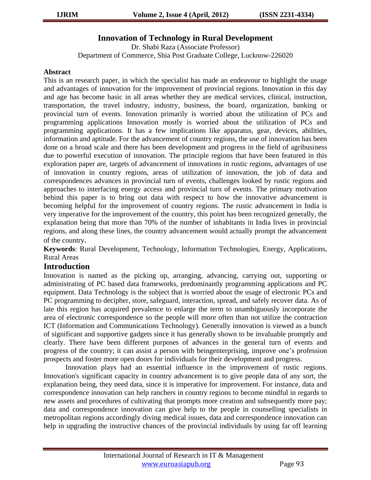## **Innovation of Technology in Rural Development**

Dr. Shabi Raza (Associate Professor) Department of Commerce, Shia Post Graduate College, Lucknow-226020

#### **Abstract**

This is an research paper, in which the specialist has made an endeavour to highlight the usage and advantages of innovation for the improvement of provincial regions. Innovation in this day and age has become basic in all areas whether they are medical services, clinical, instruction, transportation, the travel industry, industry, business, the board, organization, banking or provincial turn of events. Innovation primarily is worried about the utilization of PCs and programming applications Innovation mostly is worried about the utilization of PCs and programming applications. It has a few implications like apparatus, gear, devices, abilities, information and aptitude. For the advancement of country regions, the use of innovation has been done on a broad scale and there has been development and progress in the field of agribusiness due to powerful execution of innovation. The principle regions that have been featured in this exploration paper are, targets of advancement of innovations in rustic regions, advantages of use of innovation in country regions, areas of utilization of innovation, the job of data and correspondences advances in provincial turn of events, challenges looked by rustic regions and approaches to interfacing energy access and provincial turn of events. The primary motivation behind this paper is to bring out data with respect to how the innovative advancement is becoming helpful for the improvement of country regions. The rustic advancement in India is very imperative for the improvement of the country, this point has been recognized generally, the explanation being that more than 70% of the number of inhabitants in India lives in provincial regions, and along these lines, the country advancement would actually prompt the advancement of the country.

**Keywords**: Rural Development, Technology, Information Technologies, Energy, Applications, Rural Areas

### **Introduction**

Innovation is named as the picking up, arranging, advancing, carrying out, supporting or administrating of PC based data frameworks, predominantly programming applications and PC equipment. Data Technology is the subject that is worried about the usage of electronic PCs and PC programming to decipher, store, safeguard, interaction, spread, and safely recover data. As of late this region has acquired prevalence to enlarge the term to unambiguously incorporate the area of electronic correspondence so the people will more often than not utilize the contraction ICT (Information and Communications Technology). Generally innovation is viewed as a bunch of significant and supportive gadgets since it has generally shown to be invaluable promptly and clearly. There have been different purposes of advances in the general turn of events and progress of the country; it can assist a person with beingenterprising, improve one's profession prospects and foster more open doors for individuals for their development and progress.

Innovation plays had an essential influence in the improvement of rustic regions. Innovation's significant capacity in country advancement is to give people data of any sort, the explanation being, they need data, since it is imperative for improvement. For instance, data and correspondence innovation can help ranchers in country regions to become mindful in regards to new assets and procedures of cultivating that prompts more creation and subsequently more pay; data and correspondence innovation can give help to the people in counselling specialists in metropolitan regions accordingly diving medical issues, data and correspondence innovation can help in upgrading the instructive chances of the provincial individuals by using far off learning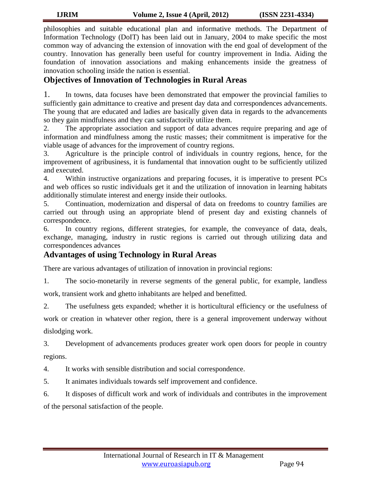philosophies and suitable educational plan and informative methods. The Department of Information Technology (DoIT) has been laid out in January, 2004 to make specific the most common way of advancing the extension of innovation with the end goal of development of the country. Innovation has generally been useful for country improvement in India. Aiding the foundation of innovation associations and making enhancements inside the greatness of innovation schooling inside the nation is essential.

## **Objectives of Innovation of Technologies in Rural Areas**

1. In towns, data focuses have been demonstrated that empower the provincial families to sufficiently gain admittance to creative and present day data and correspondences advancements. The young that are educated and ladies are basically given data in regards to the advancements so they gain mindfulness and they can satisfactorily utilize them.

2. The appropriate association and support of data advances require preparing and age of information and mindfulness among the rustic masses; their commitment is imperative for the viable usage of advances for the improvement of country regions.

3. Agriculture is the principle control of individuals in country regions, hence, for the improvement of agribusiness, it is fundamental that innovation ought to be sufficiently utilized and executed.

4. Within instructive organizations and preparing focuses, it is imperative to present PCs and web offices so rustic individuals get it and the utilization of innovation in learning habitats additionally stimulate interest and energy inside their outlooks.

5. Continuation, modernization and dispersal of data on freedoms to country families are carried out through using an appropriate blend of present day and existing channels of correspondence.

6. In country regions, different strategies, for example, the conveyance of data, deals, exchange, managing, industry in rustic regions is carried out through utilizing data and correspondences advances

# **Advantages of using Technology in Rural Areas**

There are various advantages of utilization of innovation in provincial regions:

1. The socio-monetarily in reverse segments of the general public, for example, landless

work, transient work and ghetto inhabitants are helped and benefitted.

2. The usefulness gets expanded; whether it is horticultural efficiency or the usefulness of

work or creation in whatever other region, there is a general improvement underway without dislodging work.

3. Development of advancements produces greater work open doors for people in country regions.

4. It works with sensible distribution and social correspondence.

- 5. It animates individuals towards self improvement and confidence.
- 6. It disposes of difficult work and work of individuals and contributes in the improvement

of the personal satisfaction of the people.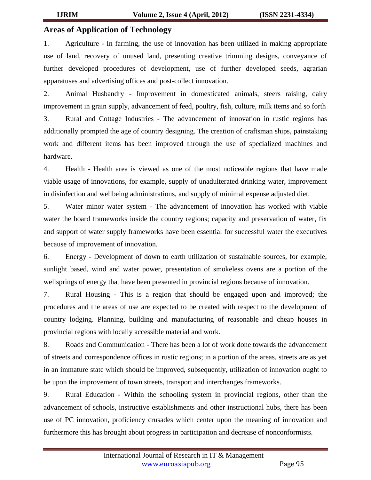### **Areas of Application of Technology**

1. Agriculture - In farming, the use of innovation has been utilized in making appropriate use of land, recovery of unused land, presenting creative trimming designs, conveyance of further developed procedures of development, use of further developed seeds, agrarian apparatuses and advertising offices and post-collect innovation.

2. Animal Husbandry - Improvement in domesticated animals, steers raising, dairy improvement in grain supply, advancement of feed, poultry, fish, culture, milk items and so forth 3. Rural and Cottage Industries - The advancement of innovation in rustic regions has additionally prompted the age of country designing. The creation of craftsman ships, painstaking work and different items has been improved through the use of specialized machines and hardware.

4. Health - Health area is viewed as one of the most noticeable regions that have made viable usage of innovations, for example, supply of unadulterated drinking water, improvement in disinfection and wellbeing administrations, and supply of minimal expense adjusted diet.

5. Water minor water system - The advancement of innovation has worked with viable water the board frameworks inside the country regions; capacity and preservation of water, fix and support of water supply frameworks have been essential for successful water the executives because of improvement of innovation.

6. Energy - Development of down to earth utilization of sustainable sources, for example, sunlight based, wind and water power, presentation of smokeless ovens are a portion of the wellsprings of energy that have been presented in provincial regions because of innovation.

7. Rural Housing - This is a region that should be engaged upon and improved; the procedures and the areas of use are expected to be created with respect to the development of country lodging. Planning, building and manufacturing of reasonable and cheap houses in provincial regions with locally accessible material and work.

8. Roads and Communication - There has been a lot of work done towards the advancement of streets and correspondence offices in rustic regions; in a portion of the areas, streets are as yet in an immature state which should be improved, subsequently, utilization of innovation ought to be upon the improvement of town streets, transport and interchanges frameworks.

9. Rural Education - Within the schooling system in provincial regions, other than the advancement of schools, instructive establishments and other instructional hubs, there has been use of PC innovation, proficiency crusades which center upon the meaning of innovation and furthermore this has brought about progress in participation and decrease of nonconformists.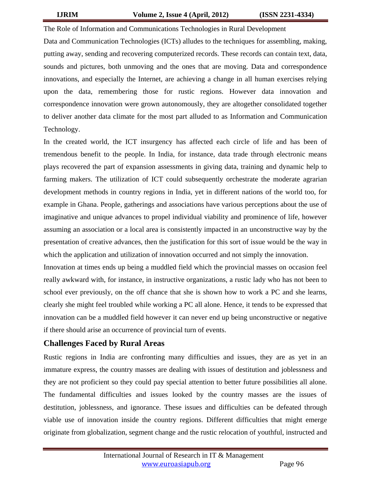The Role of Information and Communications Technologies in Rural Development Data and Communication Technologies (ICTs) alludes to the techniques for assembling, making, putting away, sending and recovering computerized records. These records can contain text, data, sounds and pictures, both unmoving and the ones that are moving. Data and correspondence innovations, and especially the Internet, are achieving a change in all human exercises relying upon the data, remembering those for rustic regions. However data innovation and correspondence innovation were grown autonomously, they are altogether consolidated together to deliver another data climate for the most part alluded to as Information and Communication Technology.

In the created world, the ICT insurgency has affected each circle of life and has been of tremendous benefit to the people. In India, for instance, data trade through electronic means plays recovered the part of expansion assessments in giving data, training and dynamic help to farming makers. The utilization of ICT could subsequently orchestrate the moderate agrarian development methods in country regions in India, yet in different nations of the world too, for example in Ghana. People, gatherings and associations have various perceptions about the use of imaginative and unique advances to propel individual viability and prominence of life, however assuming an association or a local area is consistently impacted in an unconstructive way by the presentation of creative advances, then the justification for this sort of issue would be the way in which the application and utilization of innovation occurred and not simply the innovation.

Innovation at times ends up being a muddled field which the provincial masses on occasion feel really awkward with, for instance, in instructive organizations, a rustic lady who has not been to school ever previously, on the off chance that she is shown how to work a PC and she learns, clearly she might feel troubled while working a PC all alone. Hence, it tends to be expressed that innovation can be a muddled field however it can never end up being unconstructive or negative if there should arise an occurrence of provincial turn of events.

## **Challenges Faced by Rural Areas**

Rustic regions in India are confronting many difficulties and issues, they are as yet in an immature express, the country masses are dealing with issues of destitution and joblessness and they are not proficient so they could pay special attention to better future possibilities all alone. The fundamental difficulties and issues looked by the country masses are the issues of destitution, joblessness, and ignorance. These issues and difficulties can be defeated through viable use of innovation inside the country regions. Different difficulties that might emerge originate from globalization, segment change and the rustic relocation of youthful, instructed and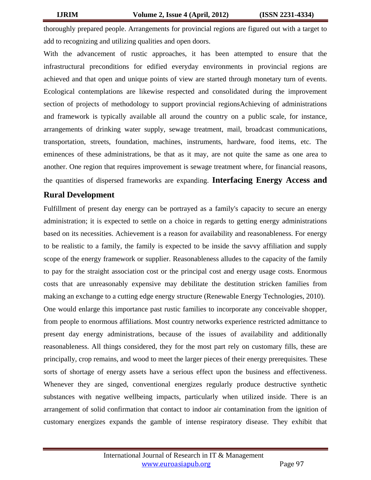thoroughly prepared people. Arrangements for provincial regions are figured out with a target to add to recognizing and utilizing qualities and open doors.

With the advancement of rustic approaches, it has been attempted to ensure that the infrastructural preconditions for edified everyday environments in provincial regions are achieved and that open and unique points of view are started through monetary turn of events. Ecological contemplations are likewise respected and consolidated during the improvement section of projects of methodology to support provincial regionsAchieving of administrations and framework is typically available all around the country on a public scale, for instance, arrangements of drinking water supply, sewage treatment, mail, broadcast communications, transportation, streets, foundation, machines, instruments, hardware, food items, etc. The eminences of these administrations, be that as it may, are not quite the same as one area to another. One region that requires improvement is sewage treatment where, for financial reasons, the quantities of dispersed frameworks are expanding. **Interfacing Energy Access and** 

## **Rural Development**

Fulfillment of present day energy can be portrayed as a family's capacity to secure an energy administration; it is expected to settle on a choice in regards to getting energy administrations based on its necessities. Achievement is a reason for availability and reasonableness. For energy to be realistic to a family, the family is expected to be inside the savvy affiliation and supply scope of the energy framework or supplier. Reasonableness alludes to the capacity of the family to pay for the straight association cost or the principal cost and energy usage costs. Enormous costs that are unreasonably expensive may debilitate the destitution stricken families from making an exchange to a cutting edge energy structure (Renewable Energy Technologies, 2010). One would enlarge this importance past rustic families to incorporate any conceivable shopper, from people to enormous affiliations. Most country networks experience restricted admittance to present day energy administrations, because of the issues of availability and additionally reasonableness. All things considered, they for the most part rely on customary fills, these are principally, crop remains, and wood to meet the larger pieces of their energy prerequisites. These sorts of shortage of energy assets have a serious effect upon the business and effectiveness. Whenever they are singed, conventional energizes regularly produce destructive synthetic substances with negative wellbeing impacts, particularly when utilized inside. There is an arrangement of solid confirmation that contact to indoor air contamination from the ignition of customary energizes expands the gamble of intense respiratory disease. They exhibit that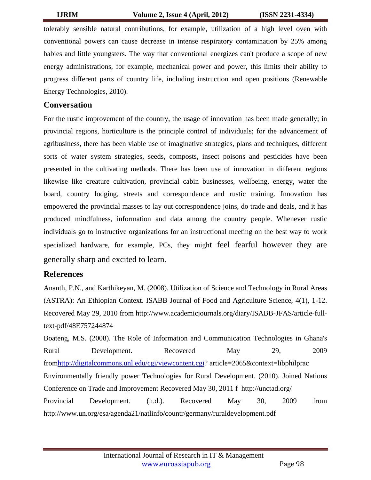tolerably sensible natural contributions, for example, utilization of a high level oven with conventional powers can cause decrease in intense respiratory contamination by 25% among babies and little youngsters. The way that conventional energizes can't produce a scope of new energy administrations, for example, mechanical power and power, this limits their ability to progress different parts of country life, including instruction and open positions (Renewable Energy Technologies, 2010).

### **Conversation**

For the rustic improvement of the country, the usage of innovation has been made generally; in provincial regions, horticulture is the principle control of individuals; for the advancement of agribusiness, there has been viable use of imaginative strategies, plans and techniques, different sorts of water system strategies, seeds, composts, insect poisons and pesticides have been presented in the cultivating methods. There has been use of innovation in different regions likewise like creature cultivation, provincial cabin businesses, wellbeing, energy, water the board, country lodging, streets and correspondence and rustic training. Innovation has empowered the provincial masses to lay out correspondence joins, do trade and deals, and it has produced mindfulness, information and data among the country people. Whenever rustic individuals go to instructive organizations for an instructional meeting on the best way to work specialized hardware, for example, PCs, they might feel fearful however they are generally sharp and excited to learn.

### **References**

Ananth, P.N., and Karthikeyan, M. (2008). Utilization of Science and Technology in Rural Areas (ASTRA): An Ethiopian Context. ISABB Journal of Food and Agriculture Science, 4(1), 1-12. Recovered May 29, 2010 from http://www.academicjournals.org/diary/ISABB-JFAS/article-fulltext-pdf/48E757244874

Boateng, M.S. (2008). The Role of Information and Communication Technologies in Ghana's Rural Development. Recovered May 29, 2009 fro[mhttp://digitalcommons.unl.edu/cgi/viewcontent.cgi?](http://digitalcommons.unl.edu/cgi/viewcontent.cgi) article=2065&context=libphilprac Environmentally friendly power Technologies for Rural Development. (2010). Joined Nations Conference on Trade and Improvement Recovered May 30, 2011 f http://unctad.org/ Provincial Development. (n.d.). Recovered May 30, 2009 from http://www.un.org/esa/agenda21/natlinfo/countr/germany/ruraldevelopment.pdf